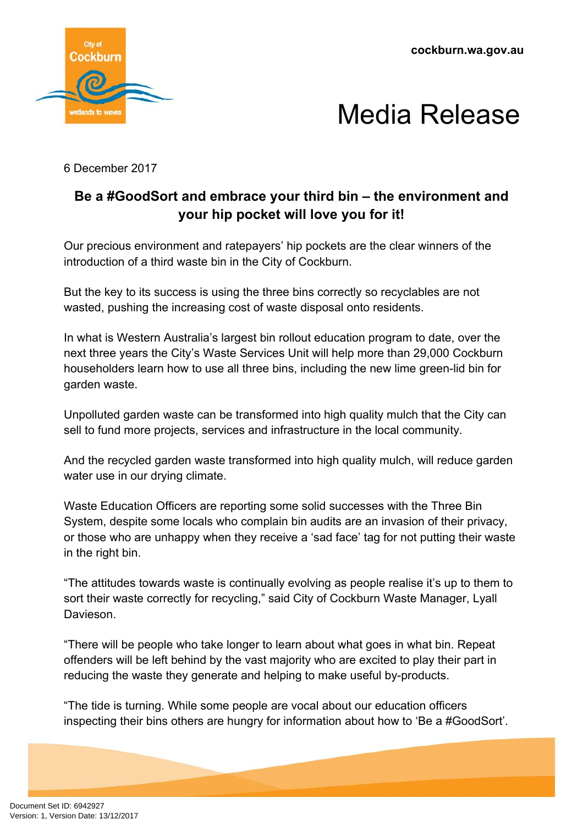**cockburn.wa.gov.au**





6 December 2017

## **Be a #GoodSort and embrace your third bin – the environment and your hip pocket will love you for it!**

Our precious environment and ratepayers' hip pockets are the clear winners of the introduction of a third waste bin in the City of Cockburn.

But the key to its success is using the three bins correctly so recyclables are not wasted, pushing the increasing cost of waste disposal onto residents.

In what is Western Australia's largest bin rollout education program to date, over the next three years the City's Waste Services Unit will help more than 29,000 Cockburn householders learn how to use all three bins, including the new lime green-lid bin for garden waste.

Unpolluted garden waste can be transformed into high quality mulch that the City can sell to fund more projects, services and infrastructure in the local community.

And the recycled garden waste transformed into high quality mulch, will reduce garden water use in our drying climate.

Waste Education Officers are reporting some solid successes with the Three Bin System, despite some locals who complain bin audits are an invasion of their privacy, or those who are unhappy when they receive a 'sad face' tag for not putting their waste in the right bin.

"The attitudes towards waste is continually evolving as people realise it's up to them to sort their waste correctly for recycling," said City of Cockburn Waste Manager, Lyall Davieson.

"There will be people who take longer to learn about what goes in what bin. Repeat offenders will be left behind by the vast majority who are excited to play their part in reducing the waste they generate and helping to make useful by-products.

"The tide is turning. While some people are vocal about our education officers inspecting their bins others are hungry for information about how to 'Be a #GoodSort'.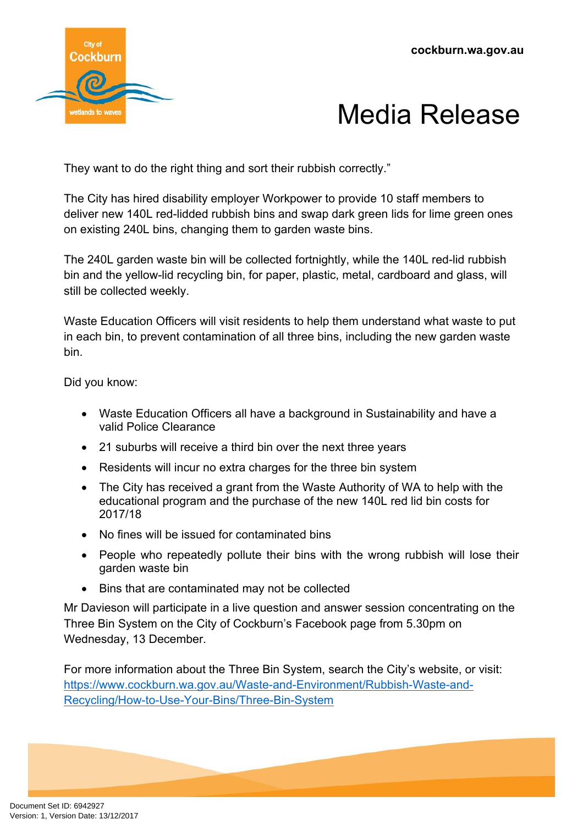



They want to do the right thing and sort their rubbish correctly."

The City has hired disability employer Workpower to provide 10 staff members to deliver new 140L red-lidded rubbish bins and swap dark green lids for lime green ones on existing 240L bins, changing them to garden waste bins.

The 240L garden waste bin will be collected fortnightly, while the 140L red-lid rubbish bin and the yellow-lid recycling bin, for paper, plastic, metal, cardboard and glass, will still be collected weekly.

Waste Education Officers will visit residents to help them understand what waste to put in each bin, to prevent contamination of all three bins, including the new garden waste bin.

Did you know:

- Waste Education Officers all have a background in Sustainability and have a valid Police Clearance
- 21 suburbs will receive a third bin over the next three years
- Residents will incur no extra charges for the three bin system
- The City has received a grant from the Waste Authority of WA to help with the educational program and the purchase of the new 140L red lid bin costs for 2017/18
- No fines will be issued for contaminated bins
- People who repeatedly pollute their bins with the wrong rubbish will lose their garden waste bin
- Bins that are contaminated may not be collected

Mr Davieson will participate in a live question and answer session concentrating on the Three Bin System on the City of Cockburn's Facebook page from 5.30pm on Wednesday, 13 December.

For more information about the Three Bin System, search the City's website, or visit: [https://www.cockburn.wa.gov.au/Waste-and-Environment/Rubbish-Waste-and-](https://www.cockburn.wa.gov.au/Waste-and-Environment/Rubbish-Waste-and-Recycling/How-to-Use-Your-Bins/Three-Bin-System)[Recycling/How-to-Use-Your-Bins/Three-Bin-System](https://www.cockburn.wa.gov.au/Waste-and-Environment/Rubbish-Waste-and-Recycling/How-to-Use-Your-Bins/Three-Bin-System)